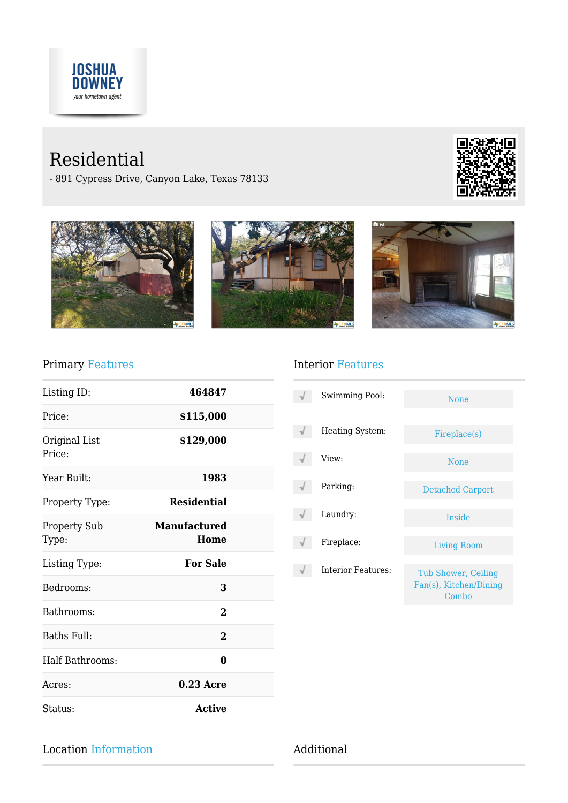

# Residential

- 891 Cypress Drive, Canyon Lake, Texas 78133





### Primary Features

| Listing ID:                  | 464847                      |  |
|------------------------------|-----------------------------|--|
| Price:                       | \$115,000                   |  |
| Original List<br>Price:      | \$129,000                   |  |
| Year Built:                  | 1983                        |  |
| Property Type:               | <b>Residential</b>          |  |
| <b>Property Sub</b><br>Type: | <b>Manufactured</b><br>Home |  |
| Listing Type:                | <b>For Sale</b>             |  |
| Bedrooms:                    | 3                           |  |
| Bathrooms:                   | $\mathbf{2}$                |  |
| Baths Full:                  | $\overline{2}$              |  |
| <b>Half Bathrooms:</b>       | 0                           |  |
| Acres:                       | $0.23$ Acre                 |  |
| Status:                      | <b>Active</b>               |  |

### Interior Features

| <b>Swimming Pool:</b> | <b>None</b>                                            |
|-----------------------|--------------------------------------------------------|
| Heating System:       | Fireplace(s)                                           |
| View:                 | <b>None</b>                                            |
| Parking:              | Detached Carport                                       |
| Laundry:              | Inside                                                 |
| Fireplace:            | <b>Living Room</b>                                     |
| Interior Features:    | Tub Shower, Ceiling<br>Fan(s), Kitchen/Dining<br>Combo |

Location Information Additional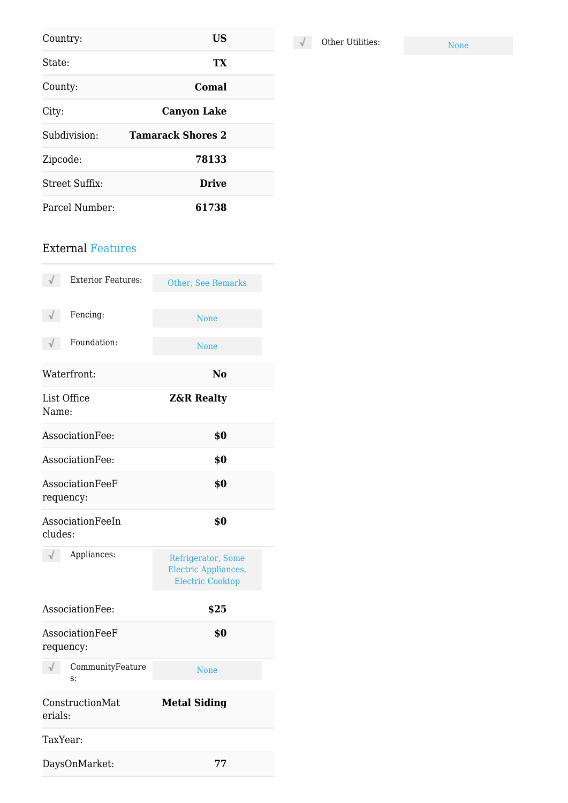| Country:       | US                       |  |
|----------------|--------------------------|--|
| State:         | TX                       |  |
| County:        | Comal                    |  |
| City:          | <b>Canyon Lake</b>       |  |
| Subdivision:   | <b>Tamarack Shores 2</b> |  |
| Zipcode:       | 78133                    |  |
| Street Suffix: | <b>Drive</b>             |  |
| Parcel Number: | 61738                    |  |

### External Features

| <b>Exterior Features:</b>    | <b>Other, See Remarks</b>                                                    |
|------------------------------|------------------------------------------------------------------------------|
| Fencing:                     | <b>None</b>                                                                  |
| Foundation:                  | <b>None</b>                                                                  |
| Waterfront:                  | N <sub>0</sub>                                                               |
| List Office<br>Name:         | <b>Z&amp;R Realty</b>                                                        |
| AssociationFee:              | \$0                                                                          |
| AssociationFee:              | \$0                                                                          |
| AssociationFeeF<br>requency: | \$0                                                                          |
| AssociationFeeIn<br>cludes:  | \$0                                                                          |
| Appliances:                  | Refrigerator, Some<br><b>Electric Appliances,</b><br><b>Electric Cooktop</b> |
| AssociationFee:              | \$25                                                                         |
| AssociationFeeF<br>requency: | \$0                                                                          |
| CommunityFeature<br>s:       | <b>None</b>                                                                  |
| ConstructionMat<br>erials:   | <b>Metal Siding</b>                                                          |
| TaxYear:                     |                                                                              |
| DaysOnMarket:                | 77                                                                           |

 $\sqrt{\phantom{a}}$  Other Utilities: None